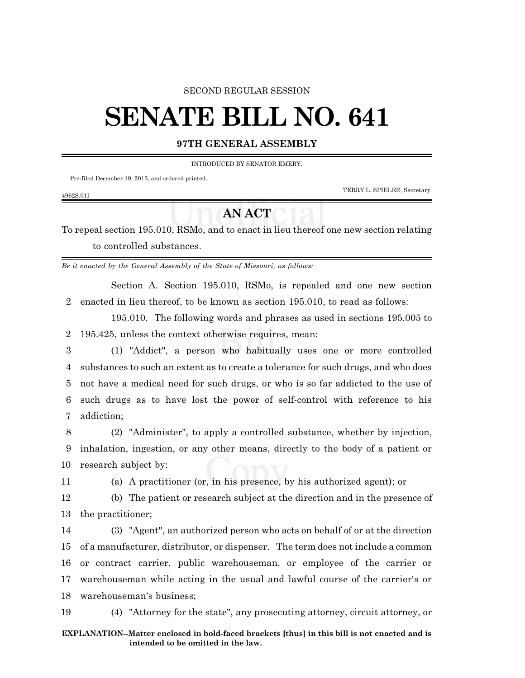## SECOND REGULAR SESSION

# **SENATE BILL NO. 641**

# **97TH GENERAL ASSEMBLY**

INTRODUCED BY SENATOR EMERY.

Pre-filed December 19, 2013, and ordered printed.

TERRY L. SPIELER, Secretary.

#### 4962S.01I

# **AN ACT**

To repeal section 195.010, RSMo, and to enact in lieu thereof one new section relating to controlled substances.

*Be it enacted by the General Assembly of the State of Missouri, as follows:*

Section A. Section 195.010, RSMo, is repealed and one new section 2 enacted in lieu thereof, to be known as section 195.010, to read as follows:

195.010. The following words and phrases as used in sections 195.005 to 2 195.425, unless the context otherwise requires, mean:

 (1) "Addict", a person who habitually uses one or more controlled substances to such an extent as to create a tolerance for such drugs, and who does not have a medical need for such drugs, or who is so far addicted to the use of such drugs as to have lost the power of self-control with reference to his addiction;

8 (2) "Administer", to apply a controlled substance, whether by injection, 9 inhalation, ingestion, or any other means, directly to the body of a patient or 10 research subject by:

11 (a) A practitioner (or, in his presence, by his authorized agent); or

12 (b) The patient or research subject at the direction and in the presence of 13 the practitioner;

 (3) "Agent", an authorized person who acts on behalf of or at the direction of a manufacturer, distributor, or dispenser. The term does not include a common or contract carrier, public warehouseman, or employee of the carrier or warehouseman while acting in the usual and lawful course of the carrier's or warehouseman's business;

19 (4) "Attorney for the state", any prosecuting attorney, circuit attorney, or

## **EXPLANATION--Matter enclosed in bold-faced brackets [thus] in this bill is not enacted and is intended to be omitted in the law.**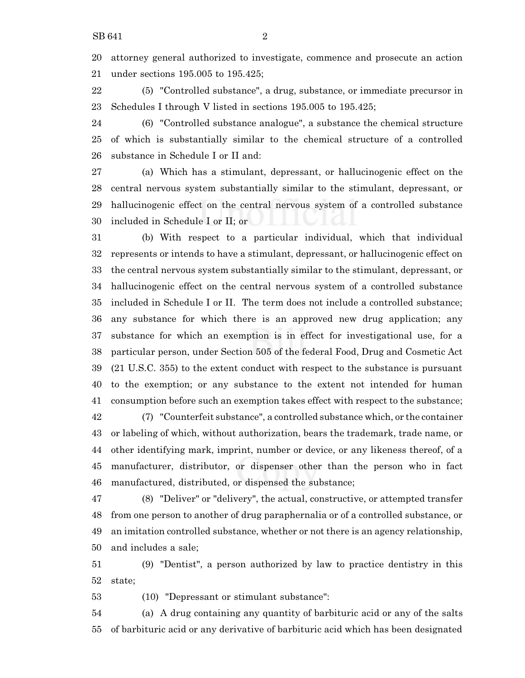attorney general authorized to investigate, commence and prosecute an action under sections 195.005 to 195.425;

 (5) "Controlled substance", a drug, substance, or immediate precursor in Schedules I through V listed in sections 195.005 to 195.425;

 (6) "Controlled substance analogue", a substance the chemical structure of which is substantially similar to the chemical structure of a controlled substance in Schedule I or II and:

 (a) Which has a stimulant, depressant, or hallucinogenic effect on the central nervous system substantially similar to the stimulant, depressant, or hallucinogenic effect on the central nervous system of a controlled substance included in Schedule I or II; or

 (b) With respect to a particular individual, which that individual represents or intends to have a stimulant, depressant, or hallucinogenic effect on the central nervous system substantially similar to the stimulant, depressant, or hallucinogenic effect on the central nervous system of a controlled substance included in Schedule I or II. The term does not include a controlled substance; any substance for which there is an approved new drug application; any substance for which an exemption is in effect for investigational use, for a particular person, under Section 505 of the federal Food, Drug and Cosmetic Act (21 U.S.C. 355) to the extent conduct with respect to the substance is pursuant to the exemption; or any substance to the extent not intended for human consumption before such an exemption takes effect with respect to the substance;

 (7) "Counterfeit substance", a controlled substance which, or the container or labeling of which, without authorization, bears the trademark, trade name, or other identifying mark, imprint, number or device, or any likeness thereof, of a manufacturer, distributor, or dispenser other than the person who in fact manufactured, distributed, or dispensed the substance;

 (8) "Deliver" or "delivery", the actual, constructive, or attempted transfer from one person to another of drug paraphernalia or of a controlled substance, or an imitation controlled substance, whether or not there is an agency relationship, and includes a sale;

 (9) "Dentist", a person authorized by law to practice dentistry in this state;

(10) "Depressant or stimulant substance":

 (a) A drug containing any quantity of barbituric acid or any of the salts of barbituric acid or any derivative of barbituric acid which has been designated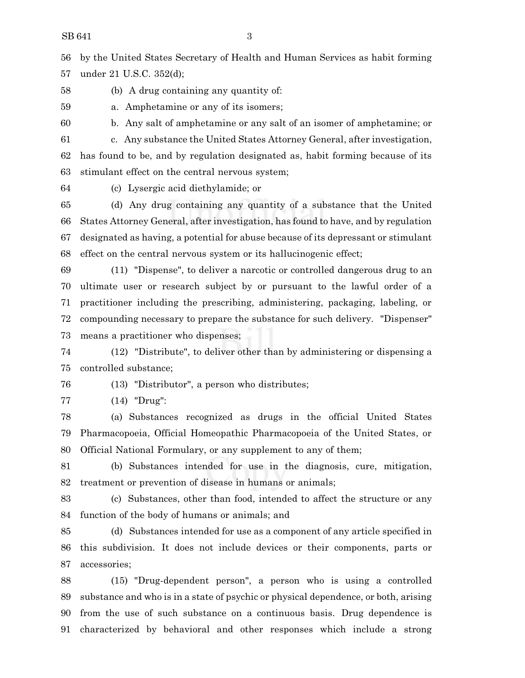by the United States Secretary of Health and Human Services as habit forming under 21 U.S.C. 352(d);

(b) A drug containing any quantity of:

a. Amphetamine or any of its isomers;

b. Any salt of amphetamine or any salt of an isomer of amphetamine; or

 c. Any substance the United States Attorney General, after investigation, has found to be, and by regulation designated as, habit forming because of its stimulant effect on the central nervous system;

(c) Lysergic acid diethylamide; or

 (d) Any drug containing any quantity of a substance that the United States Attorney General, after investigation, has found to have, and by regulation designated as having, a potential for abuse because of its depressant or stimulant effect on the central nervous system or its hallucinogenic effect;

 (11) "Dispense", to deliver a narcotic or controlled dangerous drug to an ultimate user or research subject by or pursuant to the lawful order of a practitioner including the prescribing, administering, packaging, labeling, or compounding necessary to prepare the substance for such delivery. "Dispenser" means a practitioner who dispenses;

 (12) "Distribute", to deliver other than by administering or dispensing a controlled substance;

(13) "Distributor", a person who distributes;

(14) "Drug":

 (a) Substances recognized as drugs in the official United States Pharmacopoeia, Official Homeopathic Pharmacopoeia of the United States, or Official National Formulary, or any supplement to any of them;

 (b) Substances intended for use in the diagnosis, cure, mitigation, treatment or prevention of disease in humans or animals;

 (c) Substances, other than food, intended to affect the structure or any function of the body of humans or animals; and

 (d) Substances intended for use as a component of any article specified in this subdivision. It does not include devices or their components, parts or accessories;

 (15) "Drug-dependent person", a person who is using a controlled substance and who is in a state of psychic or physical dependence, or both, arising from the use of such substance on a continuous basis. Drug dependence is characterized by behavioral and other responses which include a strong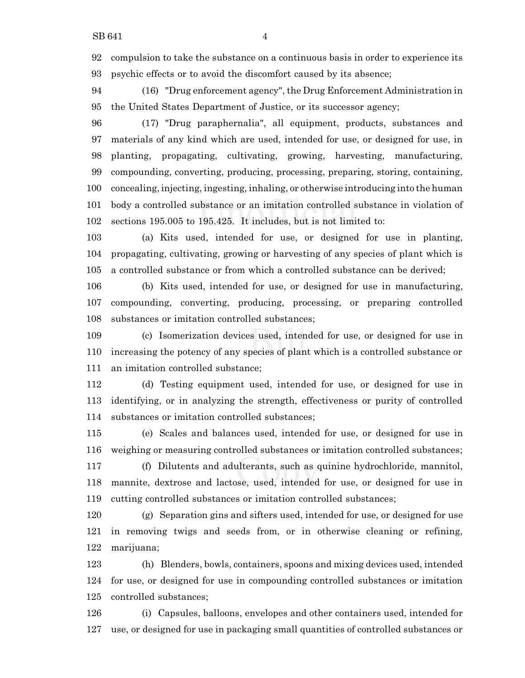compulsion to take the substance on a continuous basis in order to experience its psychic effects or to avoid the discomfort caused by its absence;

 (16) "Drug enforcement agency", the Drug Enforcement Administration in the United States Department of Justice, or its successor agency;

 (17) "Drug paraphernalia", all equipment, products, substances and materials of any kind which are used, intended for use, or designed for use, in planting, propagating, cultivating, growing, harvesting, manufacturing, compounding, converting, producing, processing, preparing, storing, containing, concealing, injecting, ingesting, inhaling, or otherwise introducing into the human body a controlled substance or an imitation controlled substance in violation of sections 195.005 to 195.425. It includes, but is not limited to:

 (a) Kits used, intended for use, or designed for use in planting, propagating, cultivating, growing or harvesting of any species of plant which is a controlled substance or from which a controlled substance can be derived;

 (b) Kits used, intended for use, or designed for use in manufacturing, compounding, converting, producing, processing, or preparing controlled substances or imitation controlled substances;

 (c) Isomerization devices used, intended for use, or designed for use in increasing the potency of any species of plant which is a controlled substance or an imitation controlled substance;

 (d) Testing equipment used, intended for use, or designed for use in identifying, or in analyzing the strength, effectiveness or purity of controlled substances or imitation controlled substances;

 (e) Scales and balances used, intended for use, or designed for use in weighing or measuring controlled substances or imitation controlled substances; (f) Dilutents and adulterants, such as quinine hydrochloride, mannitol,

 mannite, dextrose and lactose, used, intended for use, or designed for use in cutting controlled substances or imitation controlled substances;

 (g) Separation gins and sifters used, intended for use, or designed for use in removing twigs and seeds from, or in otherwise cleaning or refining, marijuana;

 (h) Blenders, bowls, containers, spoons and mixing devices used, intended for use, or designed for use in compounding controlled substances or imitation controlled substances;

 (i) Capsules, balloons, envelopes and other containers used, intended for use, or designed for use in packaging small quantities of controlled substances or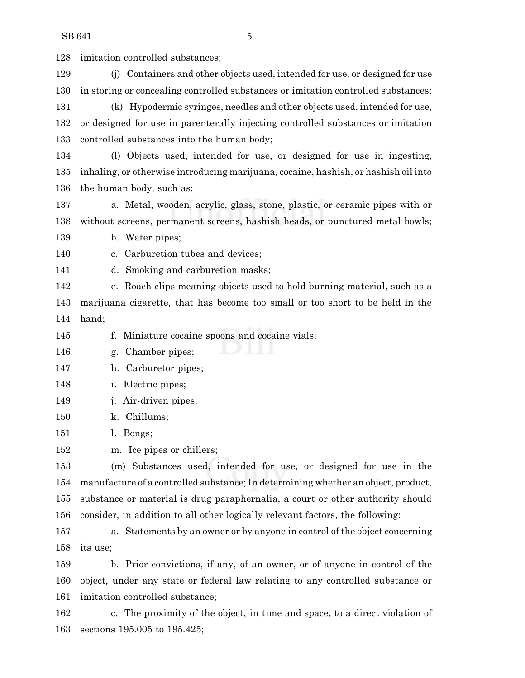imitation controlled substances; (j) Containers and other objects used, intended for use, or designed for use in storing or concealing controlled substances or imitation controlled substances; (k) Hypodermic syringes, needles and other objects used, intended for use, or designed for use in parenterally injecting controlled substances or imitation controlled substances into the human body; (l) Objects used, intended for use, or designed for use in ingesting, inhaling, or otherwise introducing marijuana, cocaine, hashish, or hashish oil into the human body, such as: a. Metal, wooden, acrylic, glass, stone, plastic, or ceramic pipes with or without screens, permanent screens, hashish heads, or punctured metal bowls; b. Water pipes; c. Carburetion tubes and devices; d. Smoking and carburetion masks; e. Roach clips meaning objects used to hold burning material, such as a marijuana cigarette, that has become too small or too short to be held in the hand; f. Miniature cocaine spoons and cocaine vials; g. Chamber pipes; h. Carburetor pipes; i. Electric pipes; j. Air-driven pipes; k. Chillums; l. Bongs; m. Ice pipes or chillers; (m) Substances used, intended for use, or designed for use in the manufacture of a controlled substance; In determining whether an object, product, substance or material is drug paraphernalia, a court or other authority should consider, in addition to all other logically relevant factors, the following: a. Statements by an owner or by anyone in control of the object concerning

 its use; b. Prior convictions, if any, of an owner, or of anyone in control of the

 object, under any state or federal law relating to any controlled substance or imitation controlled substance;

 c. The proximity of the object, in time and space, to a direct violation of sections 195.005 to 195.425;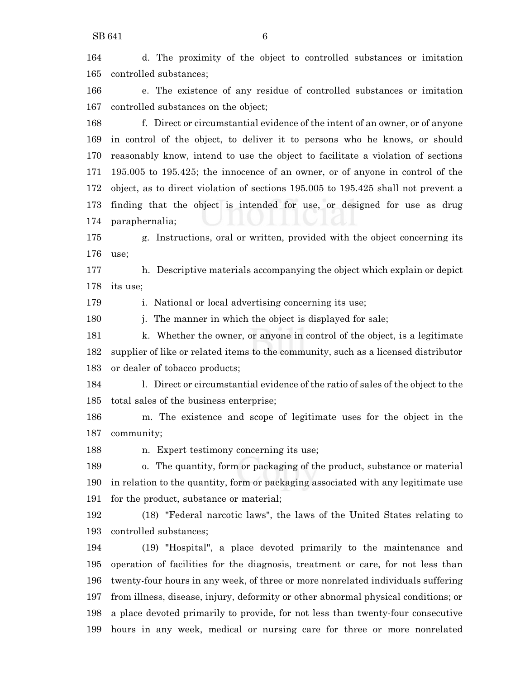| 164 | d. The proximity of the object to controlled substances or imitation               |
|-----|------------------------------------------------------------------------------------|
| 165 | controlled substances;                                                             |
| 166 | e. The existence of any residue of controlled substances or imitation              |
| 167 | controlled substances on the object;                                               |
| 168 | f. Direct or circumstantial evidence of the intent of an owner, or of anyone       |
| 169 | in control of the object, to deliver it to persons who he knows, or should         |
| 170 | reasonably know, intend to use the object to facilitate a violation of sections    |
| 171 | 195,005 to 195,425; the innocence of an owner, or of anyone in control of the      |
| 172 | object, as to direct violation of sections 195.005 to 195.425 shall not prevent a  |
| 173 | finding that the object is intended for use, or designed for use as drug           |
| 174 | paraphernalia;                                                                     |
| 175 | g. Instructions, oral or written, provided with the object concerning its          |
| 176 | use;                                                                               |
| 177 | h. Descriptive materials accompanying the object which explain or depict           |
| 178 | its use;                                                                           |
| 179 | i. National or local advertising concerning its use;                               |
| 180 | The manner in which the object is displayed for sale;<br>i.                        |
| 181 | k. Whether the owner, or anyone in control of the object, is a legitimate          |
| 182 | supplier of like or related items to the community, such as a licensed distributor |
| 183 | or dealer of tobacco products;                                                     |
| 184 | 1. Direct or circumstantial evidence of the ratio of sales of the object to the    |
| 185 | total sales of the business enterprise;                                            |
| 186 | m. The existence and scope of legitimate uses for the object in the                |
| 187 | community;                                                                         |
| 188 | Expert testimony concerning its use;<br>n.                                         |
| 189 | o. The quantity, form or packaging of the product, substance or material           |
| 190 | in relation to the quantity, form or packaging associated with any legitimate use  |
| 191 | for the product, substance or material;                                            |
| 192 | (18) "Federal narcotic laws", the laws of the United States relating to            |
| 193 | controlled substances;                                                             |
| 194 | (19) "Hospital", a place devoted primarily to the maintenance and                  |
| 195 | operation of facilities for the diagnosis, treatment or care, for not less than    |
| 196 | twenty-four hours in any week, of three or more nonrelated individuals suffering   |
| 197 | from illness, disease, injury, deformity or other abnormal physical conditions; or |
| 198 | a place devoted primarily to provide, for not less than twenty-four consecutive    |

hours in any week, medical or nursing care for three or more nonrelated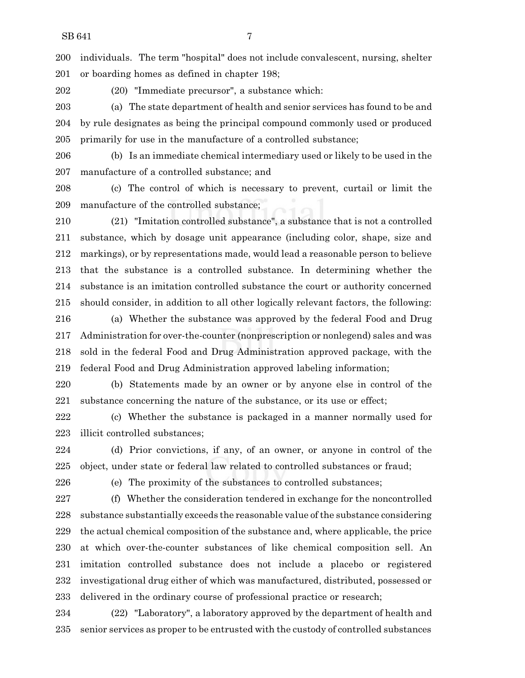individuals. The term "hospital" does not include convalescent, nursing, shelter or boarding homes as defined in chapter 198;

(20) "Immediate precursor", a substance which:

 (a) The state department of health and senior services has found to be and by rule designates as being the principal compound commonly used or produced primarily for use in the manufacture of a controlled substance;

 (b) Is an immediate chemical intermediary used or likely to be used in the manufacture of a controlled substance; and

 (c) The control of which is necessary to prevent, curtail or limit the manufacture of the controlled substance;

 (21) "Imitation controlled substance", a substance that is not a controlled substance, which by dosage unit appearance (including color, shape, size and markings), or by representations made, would lead a reasonable person to believe that the substance is a controlled substance. In determining whether the substance is an imitation controlled substance the court or authority concerned should consider, in addition to all other logically relevant factors, the following:

 (a) Whether the substance was approved by the federal Food and Drug Administration for over-the-counter (nonprescription or nonlegend) sales and was sold in the federal Food and Drug Administration approved package, with the federal Food and Drug Administration approved labeling information;

 (b) Statements made by an owner or by anyone else in control of the substance concerning the nature of the substance, or its use or effect;

 (c) Whether the substance is packaged in a manner normally used for illicit controlled substances;

 (d) Prior convictions, if any, of an owner, or anyone in control of the object, under state or federal law related to controlled substances or fraud;

(e) The proximity of the substances to controlled substances;

 (f) Whether the consideration tendered in exchange for the noncontrolled substance substantially exceeds the reasonable value ofthe substance considering the actual chemical composition of the substance and, where applicable, the price at which over-the-counter substances of like chemical composition sell. An imitation controlled substance does not include a placebo or registered investigational drug either of which was manufactured, distributed, possessed or delivered in the ordinary course of professional practice or research;

 (22) "Laboratory", a laboratory approved by the department of health and senior services as proper to be entrusted with the custody of controlled substances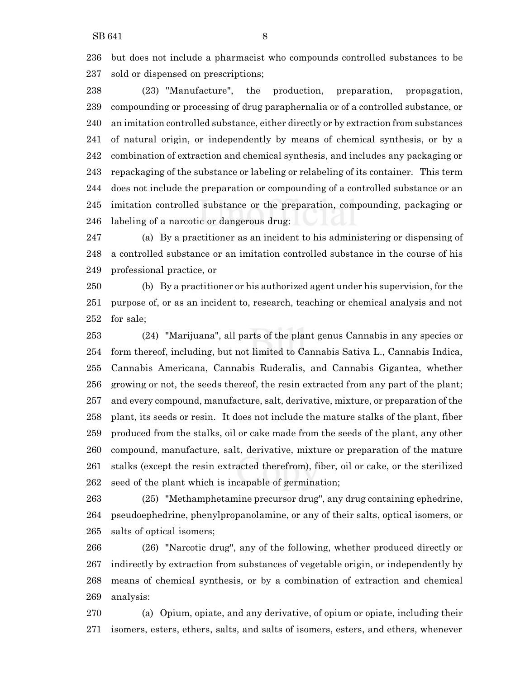but does not include a pharmacist who compounds controlled substances to be sold or dispensed on prescriptions;

 (23) "Manufacture", the production, preparation, propagation, compounding or processing of drug paraphernalia or of a controlled substance, or an imitation controlled substance, either directly or by extraction from substances of natural origin, or independently by means of chemical synthesis, or by a combination of extraction and chemical synthesis, and includes any packaging or repackaging of the substance or labeling or relabeling of its container. This term does not include the preparation or compounding of a controlled substance or an imitation controlled substance or the preparation, compounding, packaging or labeling of a narcotic or dangerous drug:

 (a) By a practitioner as an incident to his administering or dispensing of a controlled substance or an imitation controlled substance in the course of his professional practice, or

 (b) By a practitioner or his authorized agent under his supervision, for the purpose of, or as an incident to, research, teaching or chemical analysis and not for sale;

 (24) "Marijuana", all parts of the plant genus Cannabis in any species or form thereof, including, but not limited to Cannabis Sativa L., Cannabis Indica, Cannabis Americana, Cannabis Ruderalis, and Cannabis Gigantea, whether growing or not, the seeds thereof, the resin extracted from any part of the plant; and every compound, manufacture, salt, derivative, mixture, or preparation of the plant, its seeds or resin. It does not include the mature stalks of the plant, fiber produced from the stalks, oil or cake made from the seeds of the plant, any other compound, manufacture, salt, derivative, mixture or preparation of the mature stalks (except the resin extracted therefrom), fiber, oil or cake, or the sterilized seed of the plant which is incapable of germination;

 (25) "Methamphetamine precursor drug", any drug containing ephedrine, pseudoephedrine, phenylpropanolamine, or any of their salts, optical isomers, or salts of optical isomers;

 (26) "Narcotic drug", any of the following, whether produced directly or indirectly by extraction from substances of vegetable origin, or independently by means of chemical synthesis, or by a combination of extraction and chemical analysis:

 (a) Opium, opiate, and any derivative, of opium or opiate, including their isomers, esters, ethers, salts, and salts of isomers, esters, and ethers, whenever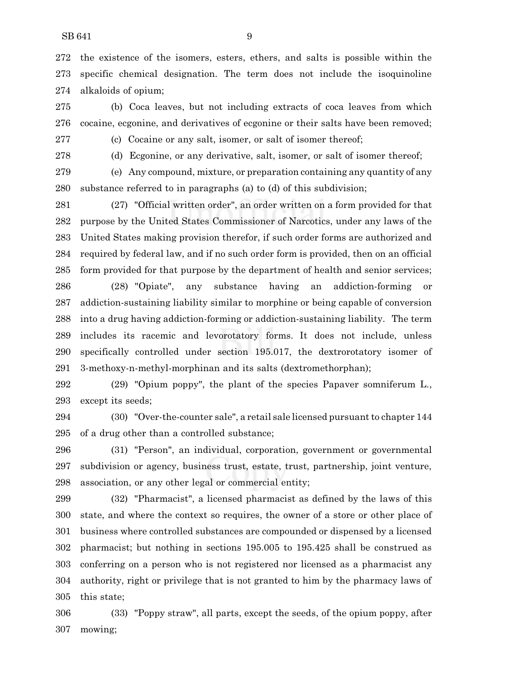the existence of the isomers, esters, ethers, and salts is possible within the specific chemical designation. The term does not include the isoquinoline alkaloids of opium;

 (b) Coca leaves, but not including extracts of coca leaves from which cocaine, ecgonine, and derivatives of ecgonine or their salts have been removed;

(c) Cocaine or any salt, isomer, or salt of isomer thereof;

(d) Ecgonine, or any derivative, salt, isomer, or salt of isomer thereof;

 (e) Any compound, mixture, or preparation containing any quantity of any substance referred to in paragraphs (a) to (d) of this subdivision;

 (27) "Official written order", an order written on a form provided for that purpose by the United States Commissioner of Narcotics, under any laws of the United States making provision therefor, if such order forms are authorized and required by federal law, and if no such order form is provided, then on an official form provided for that purpose by the department of health and senior services;

 (28) "Opiate", any substance having an addiction-forming or addiction-sustaining liability similar to morphine or being capable of conversion into a drug having addiction-forming or addiction-sustaining liability. The term includes its racemic and levorotatory forms. It does not include, unless specifically controlled under section 195.017, the dextrorotatory isomer of 3-methoxy-n-methyl-morphinan and its salts (dextromethorphan);

 (29) "Opium poppy", the plant of the species Papaver somniferum L., except its seeds;

 (30) "Over-the-counter sale", a retail sale licensed pursuant to chapter 144 of a drug other than a controlled substance;

 (31) "Person", an individual, corporation, government or governmental subdivision or agency, business trust, estate, trust, partnership, joint venture, association, or any other legal or commercial entity;

 (32) "Pharmacist", a licensed pharmacist as defined by the laws of this state, and where the context so requires, the owner of a store or other place of business where controlled substances are compounded or dispensed by a licensed pharmacist; but nothing in sections 195.005 to 195.425 shall be construed as conferring on a person who is not registered nor licensed as a pharmacist any authority, right or privilege that is not granted to him by the pharmacy laws of this state;

 (33) "Poppy straw", all parts, except the seeds, of the opium poppy, after mowing;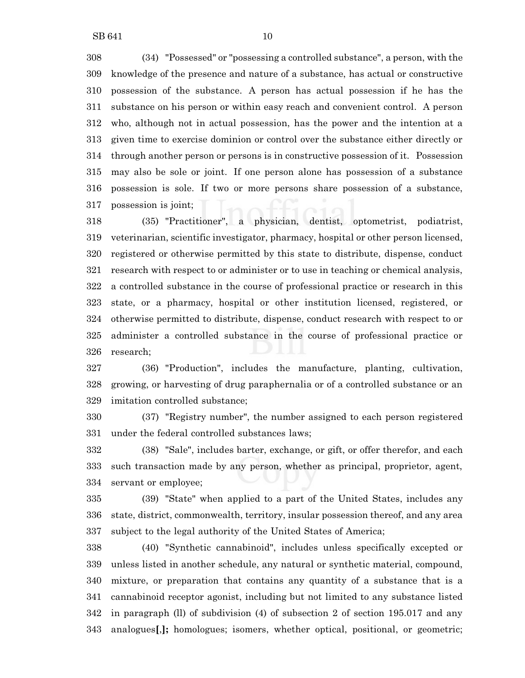(34) "Possessed" or "possessing a controlled substance", a person, with the knowledge of the presence and nature of a substance, has actual or constructive possession of the substance. A person has actual possession if he has the substance on his person or within easy reach and convenient control. A person who, although not in actual possession, has the power and the intention at a given time to exercise dominion or control over the substance either directly or through another person or persons is in constructive possession of it. Possession may also be sole or joint. If one person alone has possession of a substance possession is sole. If two or more persons share possession of a substance, possession is joint;

 (35) "Practitioner", a physician, dentist, optometrist, podiatrist, veterinarian, scientific investigator, pharmacy, hospital or other person licensed, registered or otherwise permitted by this state to distribute, dispense, conduct research with respect to or administer or to use in teaching or chemical analysis, a controlled substance in the course of professional practice or research in this state, or a pharmacy, hospital or other institution licensed, registered, or otherwise permitted to distribute, dispense, conduct research with respect to or administer a controlled substance in the course of professional practice or research;

 (36) "Production", includes the manufacture, planting, cultivation, growing, or harvesting of drug paraphernalia or of a controlled substance or an imitation controlled substance;

 (37) "Registry number", the number assigned to each person registered under the federal controlled substances laws;

 (38) "Sale", includes barter, exchange, or gift, or offer therefor, and each such transaction made by any person, whether as principal, proprietor, agent, servant or employee;

 (39) "State" when applied to a part of the United States, includes any state, district, commonwealth, territory, insular possession thereof, and any area subject to the legal authority of the United States of America;

 (40) "Synthetic cannabinoid", includes unless specifically excepted or unless listed in another schedule, any natural or synthetic material, compound, mixture, or preparation that contains any quantity of a substance that is a cannabinoid receptor agonist, including but not limited to any substance listed in paragraph (ll) of subdivision (4) of subsection 2 of section 195.017 and any analogues**[**,**];** homologues; isomers, whether optical, positional, or geometric;